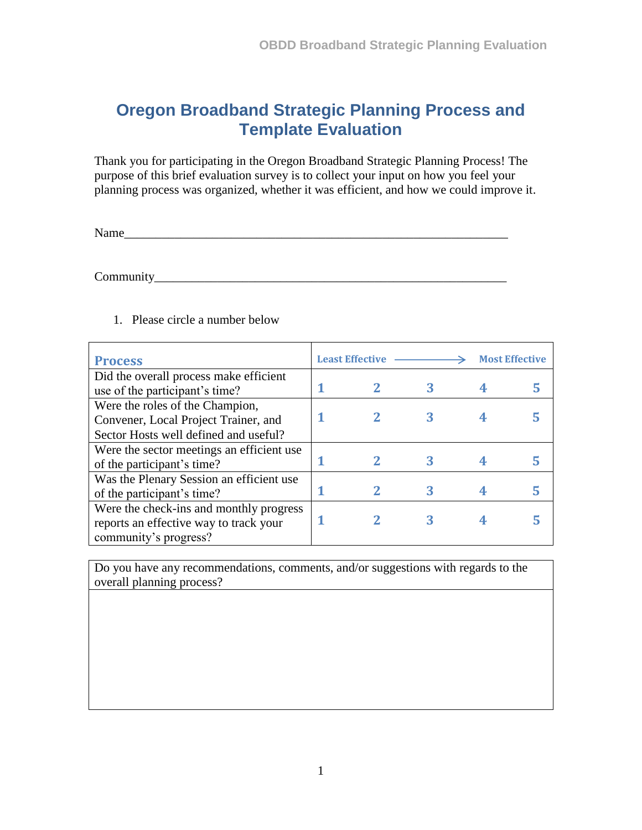## **Oregon Broadband Strategic Planning Process and Template Evaluation**

Thank you for participating in the Oregon Broadband Strategic Planning Process! The purpose of this brief evaluation survey is to collect your input on how you feel your planning process was organized, whether it was efficient, and how we could improve it.

Name\_\_\_\_\_\_\_\_\_\_\_\_\_\_\_\_\_\_\_\_\_\_\_\_\_\_\_\_\_\_\_\_\_\_\_\_\_\_\_\_\_\_\_\_\_\_\_\_\_\_\_\_\_\_\_\_\_\_\_\_\_

Community\_\_\_\_\_\_\_\_\_\_\_\_\_\_\_\_\_\_\_\_\_\_\_\_\_\_\_\_\_\_\_\_\_\_\_\_\_\_\_\_\_\_\_\_\_\_\_\_\_\_\_\_\_\_\_\_

| <b>Process</b>                            | <b>Least Effective</b> |  |   | <b>Most Effective</b> |  |
|-------------------------------------------|------------------------|--|---|-----------------------|--|
| Did the overall process make efficient    |                        |  |   |                       |  |
| use of the participant's time?            |                        |  | 3 |                       |  |
| Were the roles of the Champion,           |                        |  |   |                       |  |
| Convener, Local Project Trainer, and      |                        |  |   |                       |  |
| Sector Hosts well defined and useful?     |                        |  |   |                       |  |
| Were the sector meetings an efficient use |                        |  |   |                       |  |
| of the participant's time?                |                        |  |   |                       |  |
| Was the Plenary Session an efficient use  |                        |  |   |                       |  |
| of the participant's time?                |                        |  |   |                       |  |
| Were the check-ins and monthly progress   |                        |  |   |                       |  |
| reports an effective way to track your    |                        |  |   |                       |  |
| community's progress?                     |                        |  |   |                       |  |

## 1. Please circle a number below

Do you have any recommendations, comments, and/or suggestions with regards to the overall planning process?